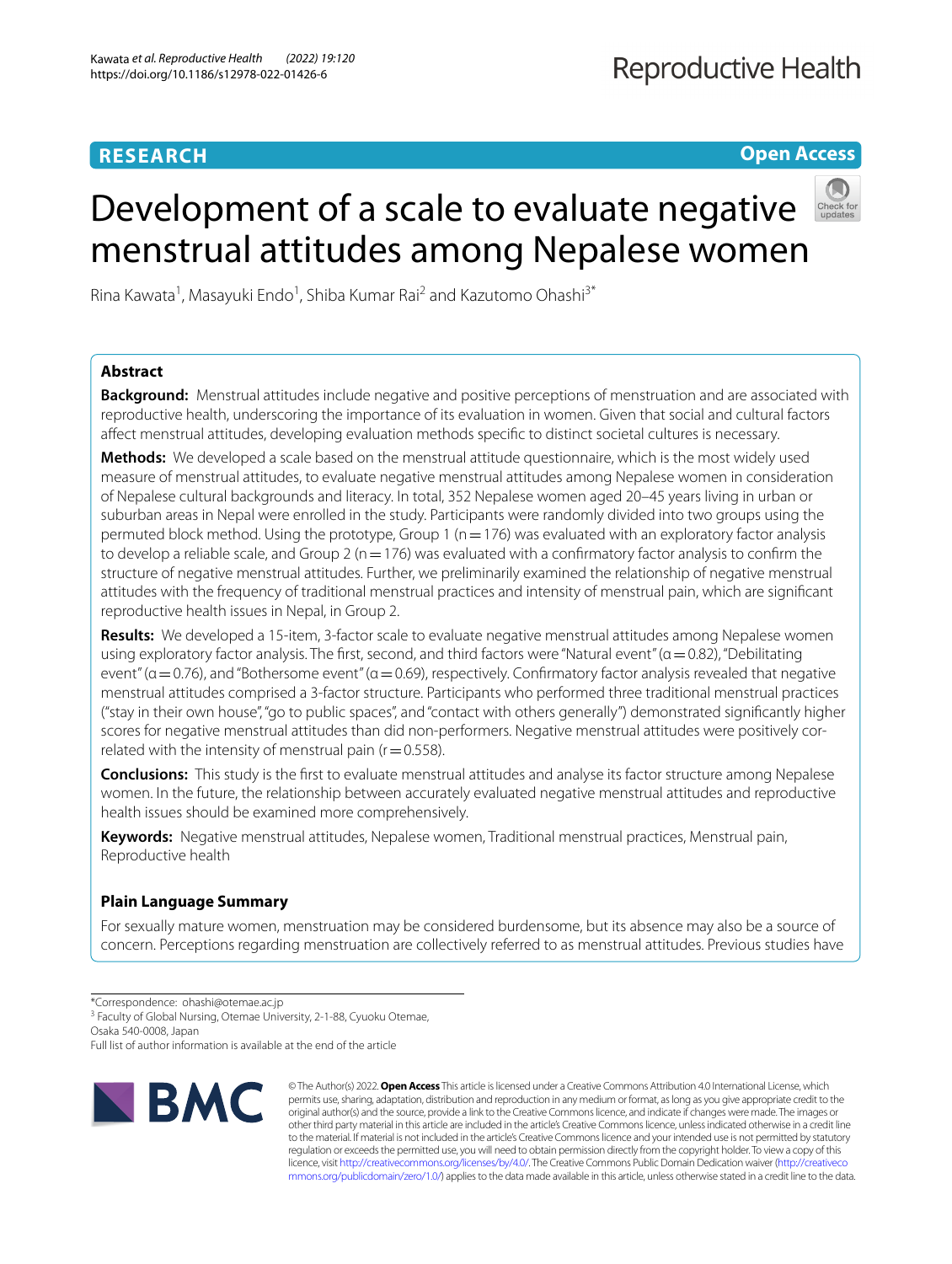# **RESEARCH**

**Open Access**

# Development of a scale to evaluate negative menstrual attitudes among Nepalese women



Rina Kawata<sup>1</sup>, Masayuki Endo<sup>1</sup>, Shiba Kumar Rai<sup>2</sup> and Kazutomo Ohashi<sup>3\*</sup>

## **Abstract**

**Background:** Menstrual attitudes include negative and positive perceptions of menstruation and are associated with reproductive health, underscoring the importance of its evaluation in women. Given that social and cultural factors afect menstrual attitudes, developing evaluation methods specifc to distinct societal cultures is necessary.

**Methods:** We developed a scale based on the menstrual attitude questionnaire, which is the most widely used measure of menstrual attitudes, to evaluate negative menstrual attitudes among Nepalese women in consideration of Nepalese cultural backgrounds and literacy. In total, 352 Nepalese women aged 20–45 years living in urban or suburban areas in Nepal were enrolled in the study. Participants were randomly divided into two groups using the permuted block method. Using the prototype, Group 1 ( $n=176$ ) was evaluated with an exploratory factor analysis to develop a reliable scale, and Group 2 ( $n=176$ ) was evaluated with a confirmatory factor analysis to confirm the structure of negative menstrual attitudes. Further, we preliminarily examined the relationship of negative menstrual attitudes with the frequency of traditional menstrual practices and intensity of menstrual pain, which are signifcant reproductive health issues in Nepal, in Group 2.

**Results:** We developed a 15-item, 3-factor scale to evaluate negative menstrual attitudes among Nepalese women using exploratory factor analysis. The first, second, and third factors were "Natural event" ( $\alpha$  = 0.82), "Debilitating event" ( $a = 0.76$ ), and "Bothersome event" ( $a = 0.69$ ), respectively. Confirmatory factor analysis revealed that negative menstrual attitudes comprised a 3-factor structure. Participants who performed three traditional menstrual practices ("stay in their own house", "go to public spaces", and "contact with others generally") demonstrated signifcantly higher scores for negative menstrual attitudes than did non-performers. Negative menstrual attitudes were positively correlated with the intensity of menstrual pain ( $r=0.558$ ).

**Conclusions:** This study is the frst to evaluate menstrual attitudes and analyse its factor structure among Nepalese women. In the future, the relationship between accurately evaluated negative menstrual attitudes and reproductive health issues should be examined more comprehensively.

**Keywords:** Negative menstrual attitudes, Nepalese women, Traditional menstrual practices, Menstrual pain, Reproductive health

# **Plain Language Summary**

For sexually mature women, menstruation may be considered burdensome, but its absence may also be a source of concern. Perceptions regarding menstruation are collectively referred to as menstrual attitudes. Previous studies have

<sup>3</sup> Faculty of Global Nursing, Otemae University, 2-1-88, Cyuoku Otemae,

Osaka 540-0008, Japan

Full list of author information is available at the end of the article



© The Author(s) 2022. **Open Access** This article is licensed under a Creative Commons Attribution 4.0 International License, which permits use, sharing, adaptation, distribution and reproduction in any medium or format, as long as you give appropriate credit to the original author(s) and the source, provide a link to the Creative Commons licence, and indicate if changes were made. The images or other third party material in this article are included in the article's Creative Commons licence, unless indicated otherwise in a credit line to the material. If material is not included in the article's Creative Commons licence and your intended use is not permitted by statutory regulation or exceeds the permitted use, you will need to obtain permission directly from the copyright holder. To view a copy of this licence, visit [http://creativecommons.org/licenses/by/4.0/.](http://creativecommons.org/licenses/by/4.0/) The Creative Commons Public Domain Dedication waiver ([http://creativeco](http://creativecommons.org/publicdomain/zero/1.0/) [mmons.org/publicdomain/zero/1.0/](http://creativecommons.org/publicdomain/zero/1.0/)) applies to the data made available in this article, unless otherwise stated in a credit line to the data.

<sup>\*</sup>Correspondence: ohashi@otemae.ac.jp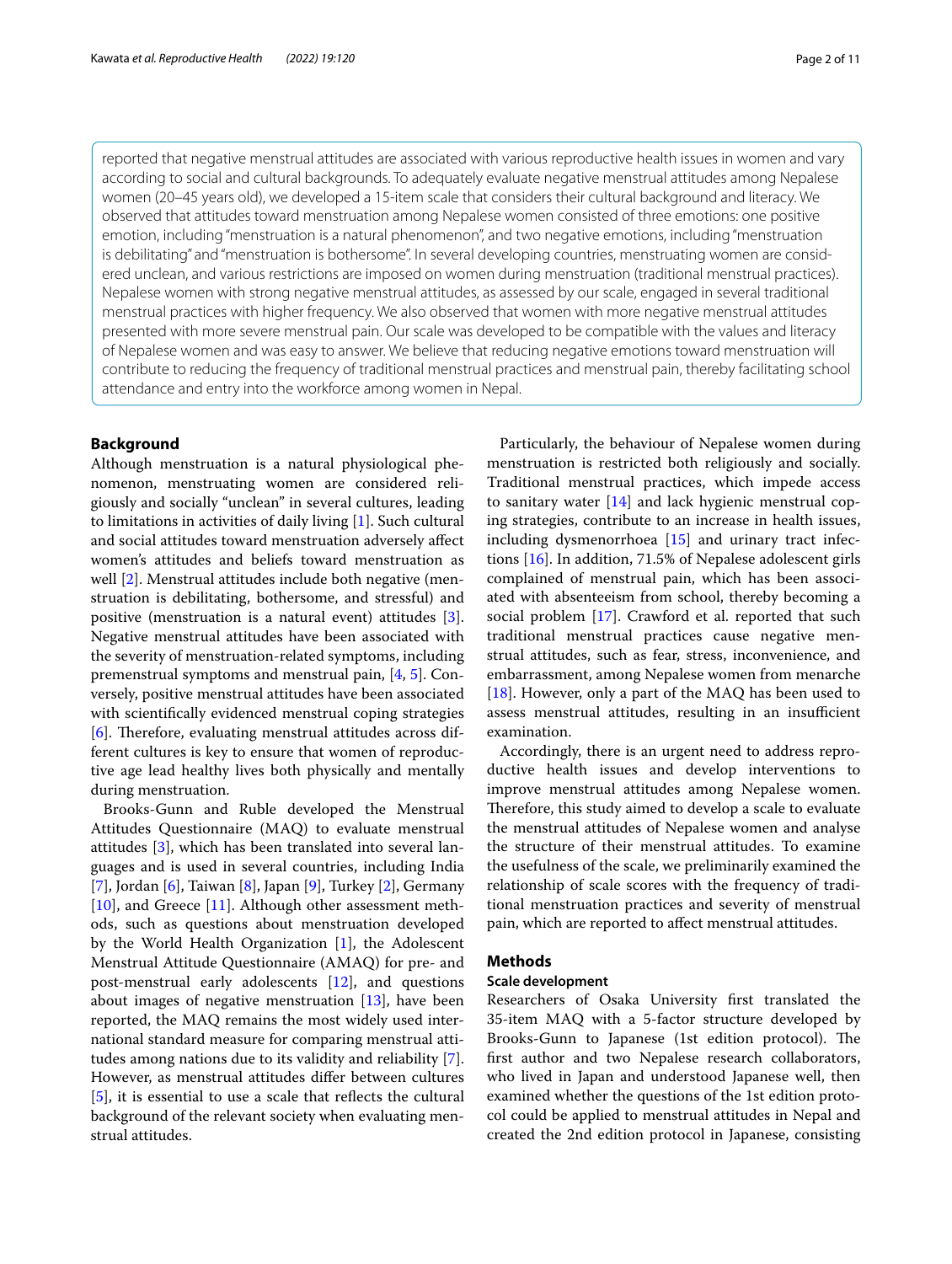reported that negative menstrual attitudes are associated with various reproductive health issues in women and vary according to social and cultural backgrounds. To adequately evaluate negative menstrual attitudes among Nepalese women (20–45 years old), we developed a 15-item scale that considers their cultural background and literacy. We observed that attitudes toward menstruation among Nepalese women consisted of three emotions: one positive emotion, including "menstruation is a natural phenomenon", and two negative emotions, including "menstruation is debilitating" and "menstruation is bothersome". In several developing countries, menstruating women are considered unclean, and various restrictions are imposed on women during menstruation (traditional menstrual practices). Nepalese women with strong negative menstrual attitudes, as assessed by our scale, engaged in several traditional menstrual practices with higher frequency. We also observed that women with more negative menstrual attitudes presented with more severe menstrual pain. Our scale was developed to be compatible with the values and literacy of Nepalese women and was easy to answer. We believe that reducing negative emotions toward menstruation will contribute to reducing the frequency of traditional menstrual practices and menstrual pain, thereby facilitating school attendance and entry into the workforce among women in Nepal.

## **Background**

Although menstruation is a natural physiological phenomenon, menstruating women are considered religiously and socially "unclean" in several cultures, leading to limitations in activities of daily living [[1\]](#page-9-0). Such cultural and social attitudes toward menstruation adversely afect women's attitudes and beliefs toward menstruation as well [[2\]](#page-9-1). Menstrual attitudes include both negative (menstruation is debilitating, bothersome, and stressful) and positive (menstruation is a natural event) attitudes [\[3](#page-9-2)]. Negative menstrual attitudes have been associated with the severity of menstruation-related symptoms, including premenstrual symptoms and menstrual pain, [[4,](#page-9-3) [5\]](#page-9-4). Conversely, positive menstrual attitudes have been associated with scientifcally evidenced menstrual coping strategies [[6\]](#page-9-5). Therefore, evaluating menstrual attitudes across different cultures is key to ensure that women of reproductive age lead healthy lives both physically and mentally during menstruation.

Brooks-Gunn and Ruble developed the Menstrual Attitudes Questionnaire (MAQ) to evaluate menstrual attitudes [[3](#page-9-2)], which has been translated into several languages and is used in several countries, including India [[7\]](#page-9-6), Jordan [\[6\]](#page-9-5), Taiwan [[8\]](#page-9-7), Japan [\[9](#page-9-8)], Turkey [[2\]](#page-9-1), Germany [[10\]](#page-9-9), and Greece [[11\]](#page-9-10). Although other assessment methods, such as questions about menstruation developed by the World Health Organization [[1\]](#page-9-0), the Adolescent Menstrual Attitude Questionnaire (AMAQ) for pre- and post-menstrual early adolescents [\[12](#page-9-11)], and questions about images of negative menstruation  $[13]$  $[13]$ , have been reported, the MAQ remains the most widely used international standard measure for comparing menstrual attitudes among nations due to its validity and reliability [\[7](#page-9-6)]. However, as menstrual attitudes difer between cultures [[5\]](#page-9-4), it is essential to use a scale that reflects the cultural background of the relevant society when evaluating menstrual attitudes.

Particularly, the behaviour of Nepalese women during menstruation is restricted both religiously and socially. Traditional menstrual practices, which impede access to sanitary water [\[14](#page-9-13)] and lack hygienic menstrual coping strategies, contribute to an increase in health issues, including dysmenorrhoea [\[15](#page-9-14)] and urinary tract infections [[16\]](#page-9-15). In addition, 71.5% of Nepalese adolescent girls complained of menstrual pain, which has been associated with absenteeism from school, thereby becoming a social problem [\[17](#page-9-16)]. Crawford et al. reported that such traditional menstrual practices cause negative menstrual attitudes, such as fear, stress, inconvenience, and embarrassment, among Nepalese women from menarche [[18\]](#page-9-17). However, only a part of the MAQ has been used to assess menstrual attitudes, resulting in an insufficient examination.

Accordingly, there is an urgent need to address reproductive health issues and develop interventions to improve menstrual attitudes among Nepalese women. Therefore, this study aimed to develop a scale to evaluate the menstrual attitudes of Nepalese women and analyse the structure of their menstrual attitudes. To examine the usefulness of the scale, we preliminarily examined the relationship of scale scores with the frequency of traditional menstruation practices and severity of menstrual pain, which are reported to afect menstrual attitudes.

## **Methods**

## **Scale development**

Researchers of Osaka University frst translated the 35-item MAQ with a 5-factor structure developed by Brooks-Gunn to Japanese (1st edition protocol). The frst author and two Nepalese research collaborators, who lived in Japan and understood Japanese well, then examined whether the questions of the 1st edition protocol could be applied to menstrual attitudes in Nepal and created the 2nd edition protocol in Japanese, consisting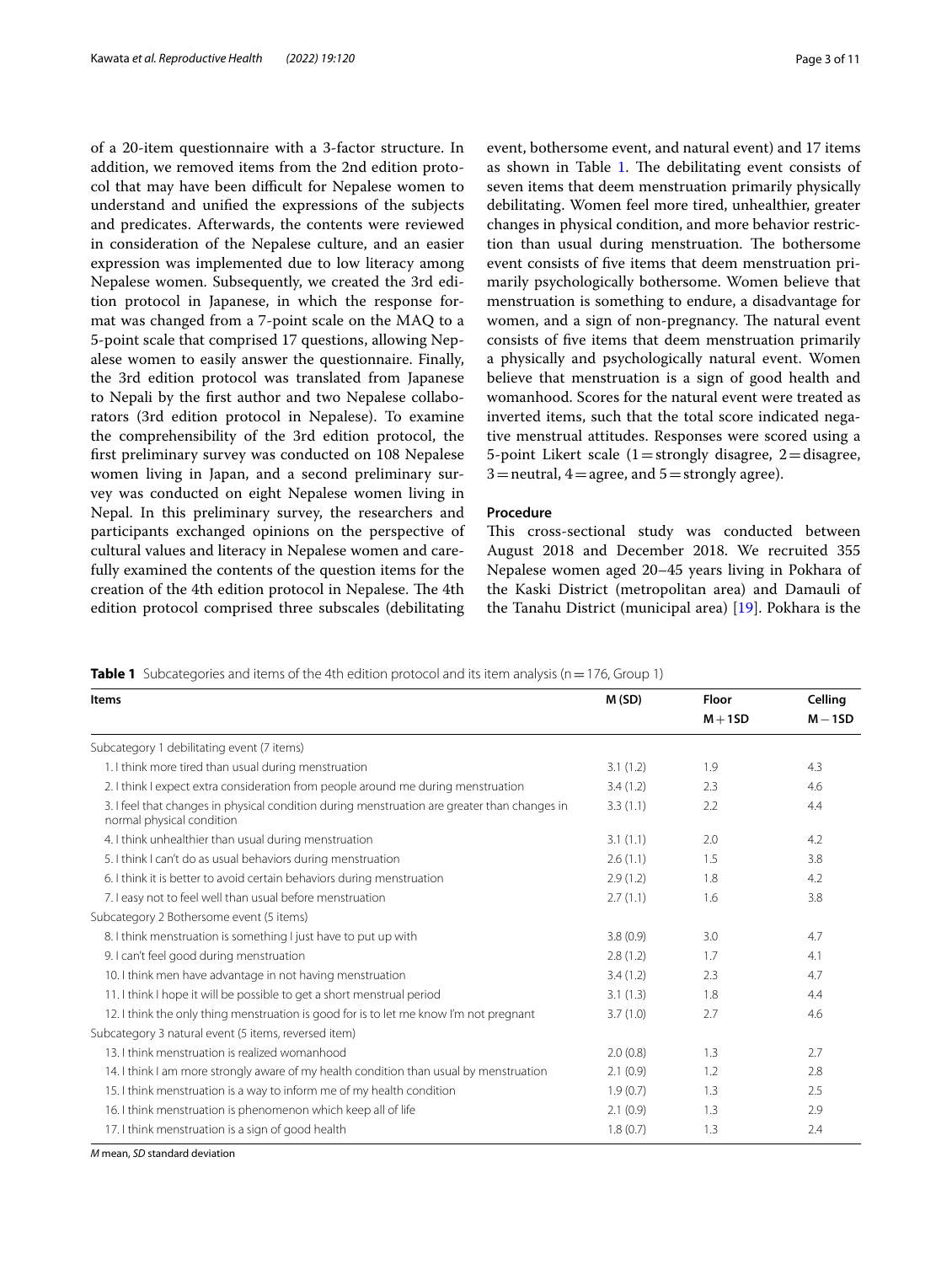of a 20-item questionnaire with a 3-factor structure. In addition, we removed items from the 2nd edition protocol that may have been difficult for Nepalese women to understand and unifed the expressions of the subjects and predicates. Afterwards, the contents were reviewed in consideration of the Nepalese culture, and an easier expression was implemented due to low literacy among Nepalese women. Subsequently, we created the 3rd edition protocol in Japanese, in which the response format was changed from a 7-point scale on the MAQ to a 5-point scale that comprised 17 questions, allowing Nepalese women to easily answer the questionnaire. Finally, the 3rd edition protocol was translated from Japanese to Nepali by the frst author and two Nepalese collaborators (3rd edition protocol in Nepalese). To examine the comprehensibility of the 3rd edition protocol, the frst preliminary survey was conducted on 108 Nepalese women living in Japan, and a second preliminary survey was conducted on eight Nepalese women living in Nepal. In this preliminary survey, the researchers and participants exchanged opinions on the perspective of cultural values and literacy in Nepalese women and carefully examined the contents of the question items for the creation of the 4th edition protocol in Nepalese. The 4th edition protocol comprised three subscales (debilitating event, bothersome event, and natural event) and 17 items as shown in Table [1](#page-2-0). The debilitating event consists of seven items that deem menstruation primarily physically debilitating. Women feel more tired, unhealthier, greater changes in physical condition, and more behavior restriction than usual during menstruation. The bothersome event consists of fve items that deem menstruation primarily psychologically bothersome. Women believe that menstruation is something to endure, a disadvantage for women, and a sign of non-pregnancy. The natural event consists of fve items that deem menstruation primarily a physically and psychologically natural event. Women believe that menstruation is a sign of good health and womanhood. Scores for the natural event were treated as inverted items, such that the total score indicated negative menstrual attitudes. Responses were scored using a 5-point Likert scale  $(1=$ strongly disagree,  $2=$ disagree,  $3$  = neutral,  $4$  = agree, and  $5$  = strongly agree).

## **Procedure**

This cross-sectional study was conducted between August 2018 and December 2018. We recruited 355 Nepalese women aged 20–45 years living in Pokhara of the Kaski District (metropolitan area) and Damauli of the Tanahu District (municipal area) [[19\]](#page-9-18). Pokhara is the

<span id="page-2-0"></span>**Table 1** Subcategories and items of the 4th edition protocol and its item analysis (n=176, Group 1)

| <b>Items</b>                                                                                                              | M(SD)    | Floor     | Celling |
|---------------------------------------------------------------------------------------------------------------------------|----------|-----------|---------|
|                                                                                                                           |          | $M + 1SD$ | $M-1SD$ |
| Subcategory 1 debilitating event (7 items)                                                                                |          |           |         |
| 1. I think more tired than usual during menstruation                                                                      | 3.1(1.2) | 1.9       | 4.3     |
| 2. I think I expect extra consideration from people around me during menstruation                                         | 3.4(1.2) | 2.3       | 4.6     |
| 3. I feel that changes in physical condition during menstruation are greater than changes in<br>normal physical condition | 3.3(1.1) | 2.2       | 4.4     |
| 4. I think unhealthier than usual during menstruation                                                                     | 3.1(1.1) | 2.0       | 4.2     |
| 5. I think I can't do as usual behaviors during menstruation                                                              | 2.6(1.1) | 1.5       | 3.8     |
| 6. I think it is better to avoid certain behaviors during menstruation                                                    | 2.9(1.2) | 1.8       | 4.2     |
| 7. I easy not to feel well than usual before menstruation                                                                 | 2.7(1.1) | 1.6       | 3.8     |
| Subcategory 2 Bothersome event (5 items)                                                                                  |          |           |         |
| 8. I think menstruation is something I just have to put up with                                                           | 3.8(0.9) | 3.0       | 4.7     |
| 9. I can't feel good during menstruation                                                                                  | 2.8(1.2) | 1.7       | 4.1     |
| 10. I think men have advantage in not having menstruation                                                                 | 3.4(1.2) | 2.3       | 4.7     |
| 11. I think I hope it will be possible to get a short menstrual period                                                    | 3.1(1.3) | 1.8       | 4.4     |
| 12. I think the only thing menstruation is good for is to let me know I'm not pregnant                                    | 3.7(1.0) | 2.7       | 4.6     |
| Subcategory 3 natural event (5 items, reversed item)                                                                      |          |           |         |
| 13. I think menstruation is realized womanhood                                                                            | 2.0(0.8) | 1.3       | 2.7     |
| 14. I think I am more strongly aware of my health condition than usual by menstruation                                    | 2.1(0.9) | 1.2       | 2.8     |
| 15. I think menstruation is a way to inform me of my health condition                                                     | 1.9(0.7) | 1.3       | 2.5     |
| 16. I think menstruation is phenomenon which keep all of life                                                             | 2.1(0.9) | 1.3       | 2.9     |
| 17. I think menstruation is a sign of good health                                                                         | 1.8(0.7) | 1.3       | 2.4     |

*M* mean, *SD* standard deviation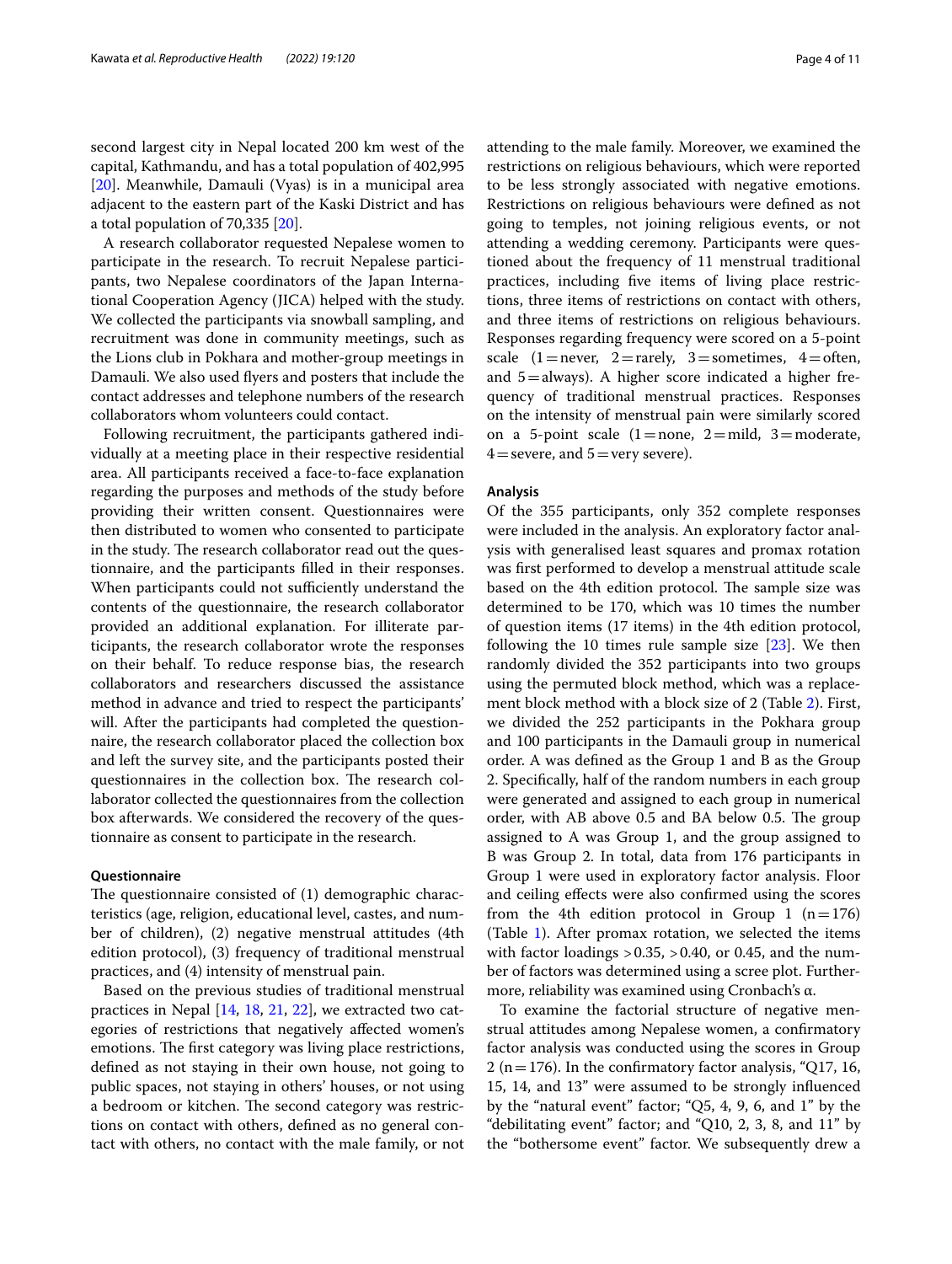second largest city in Nepal located 200 km west of the capital, Kathmandu, and has a total population of 402,995 [[20\]](#page-9-19). Meanwhile, Damauli (Vyas) is in a municipal area adjacent to the eastern part of the Kaski District and has a total population of 70,335 [\[20\]](#page-9-19).

A research collaborator requested Nepalese women to participate in the research. To recruit Nepalese participants, two Nepalese coordinators of the Japan International Cooperation Agency (JICA) helped with the study. We collected the participants via snowball sampling, and recruitment was done in community meetings, such as the Lions club in Pokhara and mother-group meetings in Damauli. We also used fyers and posters that include the contact addresses and telephone numbers of the research collaborators whom volunteers could contact.

Following recruitment, the participants gathered individually at a meeting place in their respective residential area. All participants received a face-to-face explanation regarding the purposes and methods of the study before providing their written consent. Questionnaires were then distributed to women who consented to participate in the study. The research collaborator read out the questionnaire, and the participants flled in their responses. When participants could not sufficiently understand the contents of the questionnaire, the research collaborator provided an additional explanation. For illiterate participants, the research collaborator wrote the responses on their behalf. To reduce response bias, the research collaborators and researchers discussed the assistance method in advance and tried to respect the participants' will. After the participants had completed the questionnaire, the research collaborator placed the collection box and left the survey site, and the participants posted their questionnaires in the collection box. The research collaborator collected the questionnaires from the collection box afterwards. We considered the recovery of the questionnaire as consent to participate in the research.

## **Questionnaire**

The questionnaire consisted of  $(1)$  demographic characteristics (age, religion, educational level, castes, and number of children), (2) negative menstrual attitudes (4th edition protocol), (3) frequency of traditional menstrual practices, and (4) intensity of menstrual pain.

Based on the previous studies of traditional menstrual practices in Nepal [[14,](#page-9-13) [18,](#page-9-17) [21,](#page-9-20) [22\]](#page-9-21), we extracted two categories of restrictions that negatively afected women's emotions. The first category was living place restrictions, defned as not staying in their own house, not going to public spaces, not staying in others' houses, or not using a bedroom or kitchen. The second category was restrictions on contact with others, defned as no general contact with others, no contact with the male family, or not attending to the male family. Moreover, we examined the restrictions on religious behaviours, which were reported to be less strongly associated with negative emotions. Restrictions on religious behaviours were defned as not going to temples, not joining religious events, or not attending a wedding ceremony. Participants were questioned about the frequency of 11 menstrual traditional practices, including fve items of living place restrictions, three items of restrictions on contact with others, and three items of restrictions on religious behaviours. Responses regarding frequency were scored on a 5-point scale  $(1=$  never,  $2=$  rarely,  $3=$  sometimes,  $4=$  often, and  $5=$ always). A higher score indicated a higher frequency of traditional menstrual practices. Responses on the intensity of menstrual pain were similarly scored on a 5-point scale  $(1=none, 2=mid, 3=moderate,$  $4$  = severe, and  $5$  = very severe).

## **Analysis**

Of the 355 participants, only 352 complete responses were included in the analysis. An exploratory factor analysis with generalised least squares and promax rotation was frst performed to develop a menstrual attitude scale based on the 4th edition protocol. The sample size was determined to be 170, which was 10 times the number of question items (17 items) in the 4th edition protocol, following the 10 times rule sample size  $[23]$  $[23]$ . We then randomly divided the 352 participants into two groups using the permuted block method, which was a replacement block method with a block size of 2 (Table [2\)](#page-4-0). First, we divided the 252 participants in the Pokhara group and 100 participants in the Damauli group in numerical order. A was defned as the Group 1 and B as the Group 2. Specifcally, half of the random numbers in each group were generated and assigned to each group in numerical order, with AB above 0.5 and BA below 0.5. The group assigned to A was Group 1, and the group assigned to B was Group 2. In total, data from 176 participants in Group 1 were used in exploratory factor analysis. Floor and ceiling efects were also confrmed using the scores from the 4th edition protocol in Group 1  $(n=176)$ (Table [1\)](#page-2-0). After promax rotation, we selected the items with factor loadings  $> 0.35$ ,  $> 0.40$ , or 0.45, and the number of factors was determined using a scree plot. Furthermore, reliability was examined using Cronbach's α.

To examine the factorial structure of negative menstrual attitudes among Nepalese women, a confrmatory factor analysis was conducted using the scores in Group 2 (n = 176). In the confirmatory factor analysis, "Q17, 16, 15, 14, and 13" were assumed to be strongly infuenced by the "natural event" factor; "Q5, 4, 9, 6, and 1" by the "debilitating event" factor; and "Q10, 2, 3, 8, and 11" by the "bothersome event" factor. We subsequently drew a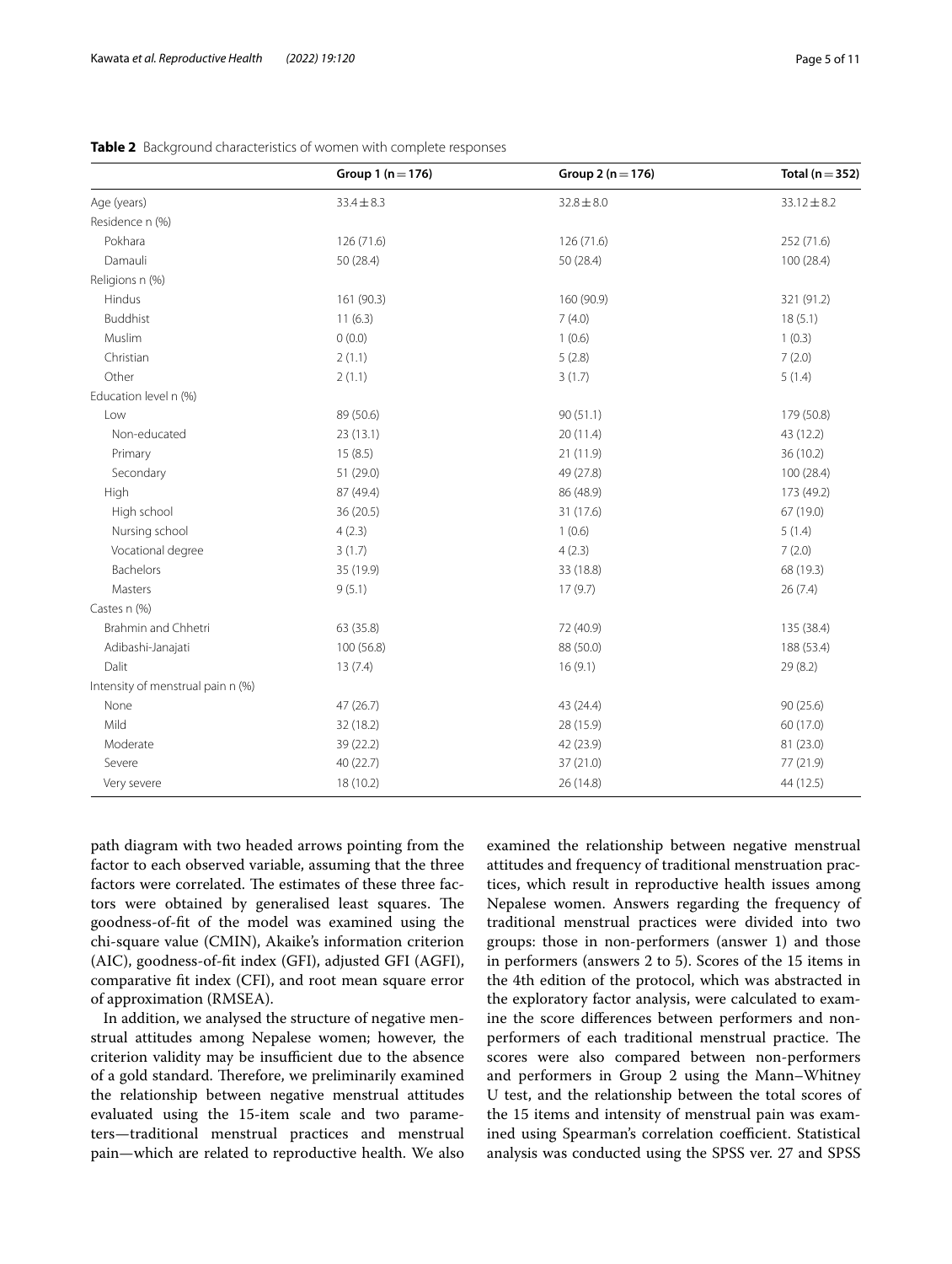|                                   | Group 1 ( $n = 176$ ) | Group 2 ( $n = 176$ ) | Total ( $n = 352$ ) |
|-----------------------------------|-----------------------|-----------------------|---------------------|
| Age (years)                       | $33.4 \pm 8.3$        | $32.8 \pm 8.0$        | $33.12 \pm 8.2$     |
| Residence n (%)                   |                       |                       |                     |
| Pokhara                           | 126 (71.6)            | 126 (71.6)            | 252 (71.6)          |
| Damauli                           | 50 (28.4)             | 50 (28.4)             | 100 (28.4)          |
| Religions n (%)                   |                       |                       |                     |
| Hindus                            | 161 (90.3)            | 160 (90.9)            | 321 (91.2)          |
| <b>Buddhist</b>                   | 11(6.3)               | 7(4.0)                | 18(5.1)             |
| Muslim                            | 0(0.0)                | 1(0.6)                | 1(0.3)              |
| Christian                         | 2(1.1)                | 5(2.8)                | 7(2.0)              |
| Other                             | 2(1.1)                | 3(1.7)                | 5(1.4)              |
| Education level n (%)             |                       |                       |                     |
| Low                               | 89 (50.6)             | 90(51.1)              | 179 (50.8)          |
| Non-educated                      | 23(13.1)              | 20(11.4)              | 43 (12.2)           |
| Primary                           | 15(8.5)               | 21 (11.9)             | 36 (10.2)           |
| Secondary                         | 51 (29.0)             | 49 (27.8)             | 100 (28.4)          |
| High                              | 87 (49.4)             | 86 (48.9)             | 173 (49.2)          |
| High school                       | 36(20.5)              | 31 (17.6)             | 67 (19.0)           |
| Nursing school                    | 4(2.3)                | 1(0.6)                | 5(1.4)              |
| Vocational degree                 | 3(1.7)                | 4(2.3)                | 7(2.0)              |
| Bachelors                         | 35 (19.9)             | 33 (18.8)             | 68 (19.3)           |
| Masters                           | 9(5.1)                | 17(9.7)               | 26(7.4)             |
| Castes n (%)                      |                       |                       |                     |
| Brahmin and Chhetri               | 63 (35.8)             | 72 (40.9)             | 135 (38.4)          |
| Adibashi-Janajati                 | 100 (56.8)            | 88 (50.0)             | 188 (53.4)          |
| Dalit                             | 13(7.4)               | 16(9.1)               | 29(8.2)             |
| Intensity of menstrual pain n (%) |                       |                       |                     |
| None                              | 47 (26.7)             | 43 (24.4)             | 90 (25.6)           |
| Mild                              | 32 (18.2)             | 28 (15.9)             | 60 (17.0)           |
| Moderate                          | 39 (22.2)             | 42 (23.9)             | 81 (23.0)           |
| Severe                            | 40 (22.7)             | 37 (21.0)             | 77 (21.9)           |
| Very severe                       | 18 (10.2)             | 26 (14.8)             | 44 (12.5)           |

## <span id="page-4-0"></span>**Table 2** Background characteristics of women with complete responses

path diagram with two headed arrows pointing from the factor to each observed variable, assuming that the three factors were correlated. The estimates of these three factors were obtained by generalised least squares. The goodness-of-ft of the model was examined using the chi-square value (CMIN), Akaike's information criterion (AIC), goodness-of-ft index (GFI), adjusted GFI (AGFI), comparative ft index (CFI), and root mean square error of approximation (RMSEA).

In addition, we analysed the structure of negative menstrual attitudes among Nepalese women; however, the criterion validity may be insufficient due to the absence of a gold standard. Therefore, we preliminarily examined the relationship between negative menstrual attitudes evaluated using the 15-item scale and two parameters—traditional menstrual practices and menstrual pain—which are related to reproductive health. We also examined the relationship between negative menstrual attitudes and frequency of traditional menstruation practices, which result in reproductive health issues among Nepalese women. Answers regarding the frequency of traditional menstrual practices were divided into two groups: those in non-performers (answer 1) and those in performers (answers 2 to 5). Scores of the 15 items in the 4th edition of the protocol, which was abstracted in the exploratory factor analysis, were calculated to examine the score diferences between performers and nonperformers of each traditional menstrual practice. The scores were also compared between non-performers and performers in Group 2 using the Mann–Whitney U test, and the relationship between the total scores of the 15 items and intensity of menstrual pain was examined using Spearman's correlation coefficient. Statistical analysis was conducted using the SPSS ver. 27 and SPSS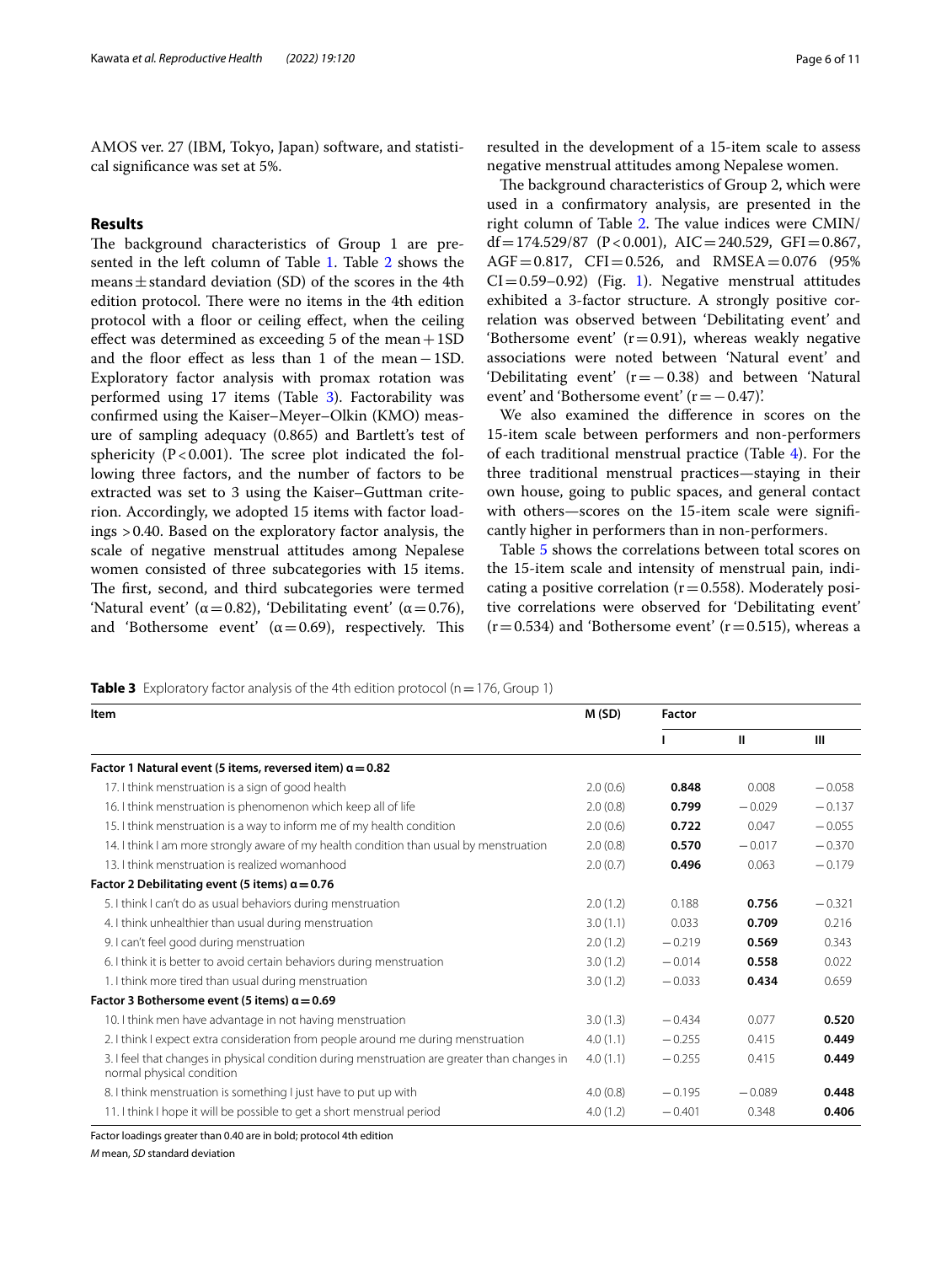AMOS ver. 27 (IBM, Tokyo, Japan) software, and statistical signifcance was set at 5%.

## **Results**

The background characteristics of Group 1 are pre-sented in the left column of Table [1.](#page-2-0) Table [2](#page-4-0) shows the means  $\pm$  standard deviation (SD) of the scores in the 4th edition protocol. There were no items in the 4th edition protocol with a floor or ceiling effect, when the ceiling effect was determined as exceeding 5 of the mean  $+1SD$ and the foor efect as less than 1 of the mean−1SD. Exploratory factor analysis with promax rotation was performed using 17 items (Table [3\)](#page-5-0). Factorability was confrmed using the Kaiser–Meyer–Olkin (KMO) measure of sampling adequacy (0.865) and Bartlett's test of sphericity ( $P < 0.001$ ). The scree plot indicated the following three factors, and the number of factors to be extracted was set to 3 using the Kaiser–Guttman criterion. Accordingly, we adopted 15 items with factor loadings >0.40. Based on the exploratory factor analysis, the scale of negative menstrual attitudes among Nepalese women consisted of three subcategories with 15 items. The first, second, and third subcategories were termed 'Natural event' ( $\alpha$  = 0.82), 'Debilitating event' ( $\alpha$  = 0.76), and 'Bothersome event'  $(\alpha = 0.69)$ , respectively. This

resulted in the development of a 15-item scale to assess negative menstrual attitudes among Nepalese women.

The background characteristics of Group 2, which were used in a confrmatory analysis, are presented in the right column of Table [2](#page-4-0). The value indices were CMIN/  $df = 174.529/87$  (P < 0.001), AIC = 240.529, GFI = 0.867,  $AGF = 0.817$ ,  $CFI = 0.526$ , and  $RMSEA = 0.076$  (95%)  $CI = 0.59-0.92$  (Fig. [1\)](#page-6-0). Negative menstrual attitudes exhibited a 3-factor structure. A strongly positive correlation was observed between 'Debilitating event' and 'Bothersome event'  $(r=0.91)$ , whereas weakly negative associations were noted between 'Natural event' and 'Debilitating event' (r=−0.38) and between 'Natural event' and 'Bothersome event'  $(r=-0.47)$ '.

We also examined the diference in scores on the 15-item scale between performers and non-performers of each traditional menstrual practice (Table [4\)](#page-7-0). For the three traditional menstrual practices—staying in their own house, going to public spaces, and general contact with others—scores on the 15-item scale were significantly higher in performers than in non-performers.

Table [5](#page-7-1) shows the correlations between total scores on the 15-item scale and intensity of menstrual pain, indicating a positive correlation ( $r=0.558$ ). Moderately positive correlations were observed for 'Debilitating event'  $(r=0.534)$  and 'Bothersome event'  $(r=0.515)$ , whereas a

<span id="page-5-0"></span>**Table 3** Exploratory factor analysis of the 4th edition protocol (n = 176, Group 1)

| Item                                                                                                                      |          | <b>Factor</b> |              |          |
|---------------------------------------------------------------------------------------------------------------------------|----------|---------------|--------------|----------|
|                                                                                                                           |          |               | $\mathbf{H}$ | Ш        |
| Factor 1 Natural event (5 items, reversed item) $\alpha$ = 0.82                                                           |          |               |              |          |
| 17. I think menstruation is a sign of good health                                                                         | 2.0(0.6) | 0.848         | 0.008        | $-0.058$ |
| 16. I think menstruation is phenomenon which keep all of life                                                             | 2.0(0.8) | 0.799         | $-0.029$     | $-0.137$ |
| 15. I think menstruation is a way to inform me of my health condition                                                     | 2.0(0.6) | 0.722         | 0.047        | $-0.055$ |
| 14. I think I am more strongly aware of my health condition than usual by menstruation                                    | 2.0(0.8) | 0.570         | $-0.017$     | $-0.370$ |
| 13. I think menstruation is realized womanhood                                                                            | 2.0(0.7) | 0.496         | 0.063        | $-0.179$ |
| Factor 2 Debilitating event (5 items) $\alpha$ = 0.76                                                                     |          |               |              |          |
| 5. I think I can't do as usual behaviors during menstruation                                                              | 2.0(1.2) | 0.188         | 0.756        | $-0.321$ |
| 4. I think unhealthier than usual during menstruation                                                                     | 3.0(1.1) | 0.033         | 0.709        | 0.216    |
| 9. I can't feel good during menstruation                                                                                  | 2.0(1.2) | $-0.219$      | 0.569        | 0.343    |
| 6. I think it is better to avoid certain behaviors during menstruation                                                    |          | $-0.014$      | 0.558        | 0.022    |
| 1. I think more tired than usual during menstruation                                                                      |          | $-0.033$      | 0.434        | 0.659    |
| Factor 3 Bothersome event (5 items) $\alpha = 0.69$                                                                       |          |               |              |          |
| 10. I think men have advantage in not having menstruation                                                                 | 3.0(1.3) | $-0.434$      | 0.077        | 0.520    |
| 2. I think I expect extra consideration from people around me during menstruation                                         | 4.0(1.1) | $-0.255$      | 0.415        | 0.449    |
| 3. I feel that changes in physical condition during menstruation are greater than changes in<br>normal physical condition | 4.0(1.1) | $-0.255$      | 0.415        | 0.449    |
| 8. I think menstruation is something I just have to put up with                                                           | 4.0(0.8) | $-0.195$      | $-0.089$     | 0.448    |
| 11. I think I hope it will be possible to get a short menstrual period                                                    | 4.0(1.2) | $-0.401$      | 0.348        | 0.406    |

Factor loadings greater than 0.40 are in bold; protocol 4th edition

*M* mean, *SD* standard deviation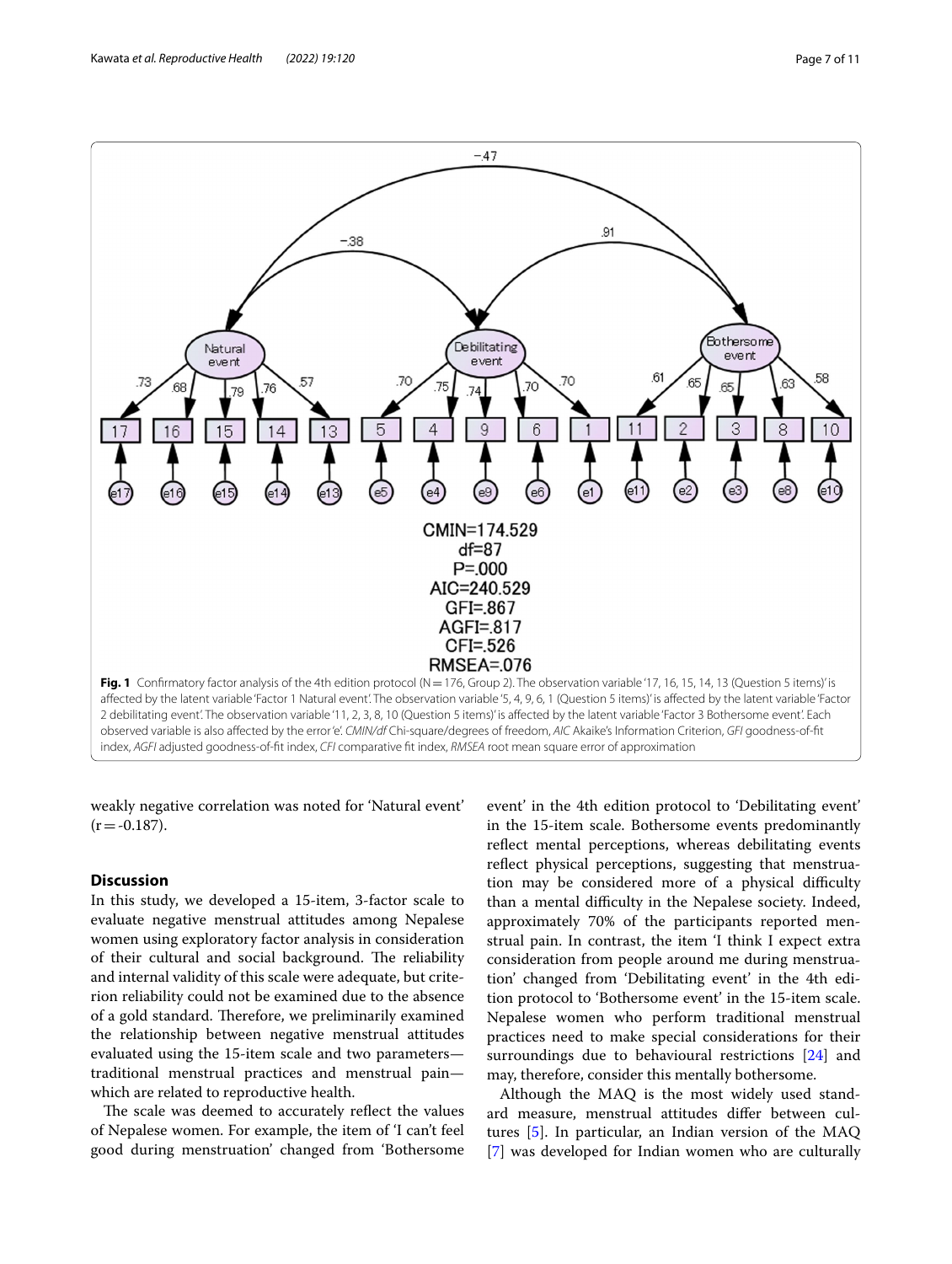

<span id="page-6-0"></span>weakly negative correlation was noted for 'Natural event'  $(r = -0.187)$ .

## **Discussion**

In this study, we developed a 15-item, 3-factor scale to evaluate negative menstrual attitudes among Nepalese women using exploratory factor analysis in consideration of their cultural and social background. The reliability and internal validity of this scale were adequate, but criterion reliability could not be examined due to the absence of a gold standard. Therefore, we preliminarily examined the relationship between negative menstrual attitudes evaluated using the 15-item scale and two parameters traditional menstrual practices and menstrual pain which are related to reproductive health.

The scale was deemed to accurately reflect the values of Nepalese women. For example, the item of 'I can't feel good during menstruation' changed from 'Bothersome event' in the 4th edition protocol to 'Debilitating event' in the 15-item scale. Bothersome events predominantly reflect mental perceptions, whereas debilitating events reflect physical perceptions, suggesting that menstruation may be considered more of a physical difficulty than a mental difficulty in the Nepalese society. Indeed, approximately 70% of the participants reported menstrual pain. In contrast, the item 'I think I expect extra consideration from people around me during menstruation' changed from 'Debilitating event' in the 4th edition protocol to 'Bothersome event' in the 15-item scale. Nepalese women who perform traditional menstrual practices need to make special considerations for their surroundings due to behavioural restrictions [\[24](#page-9-23)] and may, therefore, consider this mentally bothersome.

Although the MAQ is the most widely used standard measure, menstrual attitudes difer between cultures [[5\]](#page-9-4). In particular, an Indian version of the MAQ [[7\]](#page-9-6) was developed for Indian women who are culturally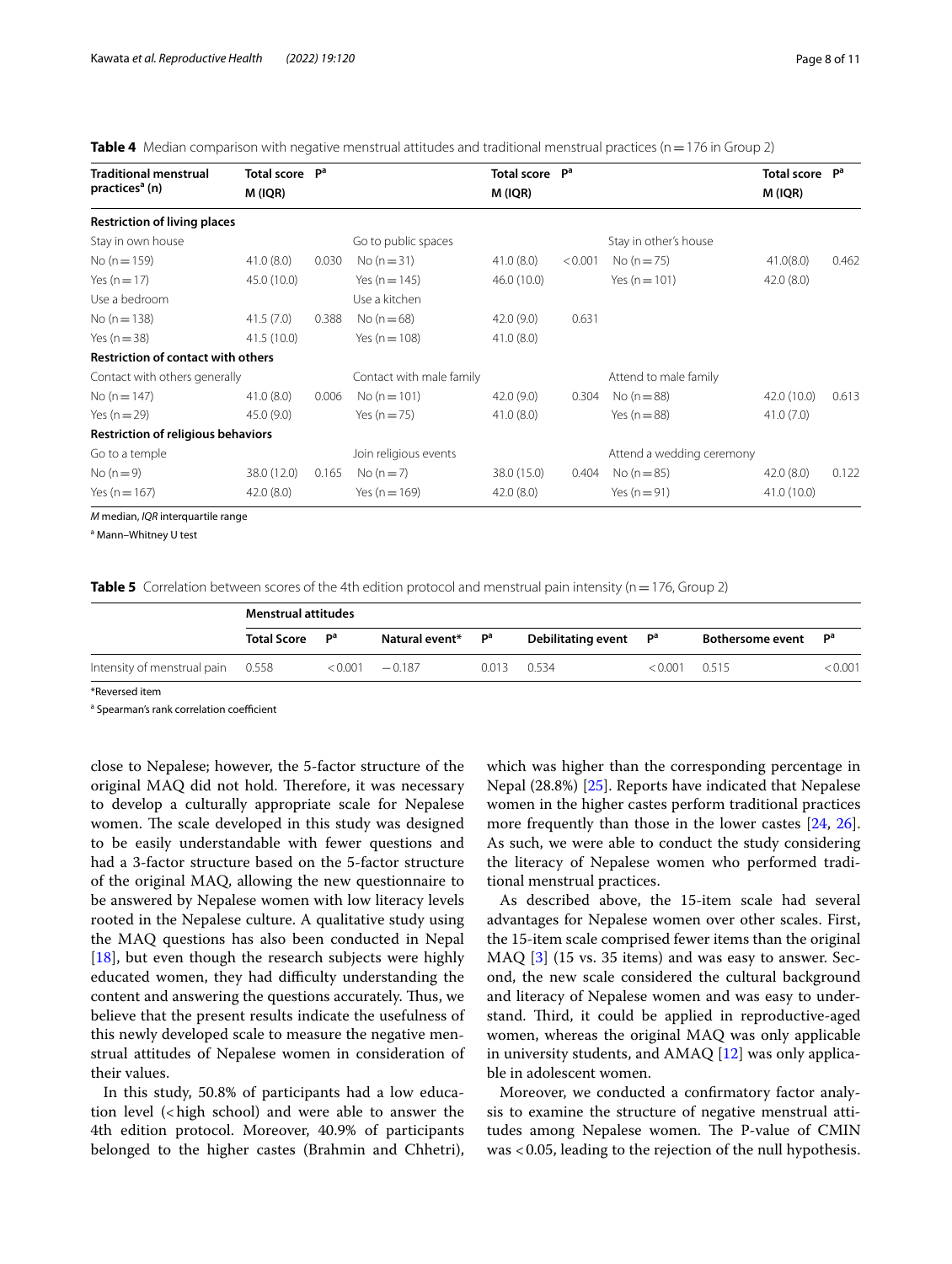<span id="page-7-0"></span>

|  |  |  |  | Table 4 Median comparison with negative menstrual attitudes and traditional menstrual practices (n = 176 in Group 2) |  |  |
|--|--|--|--|----------------------------------------------------------------------------------------------------------------------|--|--|
|--|--|--|--|----------------------------------------------------------------------------------------------------------------------|--|--|

| <b>Traditional menstrual</b>                                                          | <b>Total score</b> | P <sup>a</sup> |                          | <b>Total score</b> | P <sup>a</sup> |                           | Total score P <sup>a</sup> |       |
|---------------------------------------------------------------------------------------|--------------------|----------------|--------------------------|--------------------|----------------|---------------------------|----------------------------|-------|
| practices <sup>a</sup> (n)                                                            | M (IQR)            |                |                          | M (IQR)            |                |                           | M (IQR)                    |       |
| <b>Restriction of living places</b>                                                   |                    |                |                          |                    |                |                           |                            |       |
| Stay in own house                                                                     |                    |                | Go to public spaces      |                    |                | Stay in other's house     |                            |       |
| No $(n = 159)$                                                                        | 41.0(8.0)          | 0.030          | No $(n=31)$              | 41.0(8.0)          | < 0.001        | No $(n=75)$               | 41.0(8.0)                  | 0.462 |
| Yes $(n = 17)$                                                                        | 45.0 (10.0)        |                | Yes ( $n = 145$ )        | 46.0 (10.0)        |                | Yes $(n = 101)$           | 42.0(8.0)                  |       |
| Use a bedroom                                                                         |                    |                | Use a kitchen            |                    |                |                           |                            |       |
| No $(n = 138)$                                                                        | 41.5(7.0)          | 0.388          | No $(n=68)$              | 42.0(9.0)          | 0.631          |                           |                            |       |
| Yes $(n=38)$                                                                          | 41.5(10.0)         |                | Yes $(n = 108)$          | 41.0(8.0)          |                |                           |                            |       |
| <b>Restriction of contact with others</b>                                             |                    |                |                          |                    |                |                           |                            |       |
| Contact with others generally                                                         |                    |                | Contact with male family |                    |                | Attend to male family     |                            |       |
| No $(n = 147)$                                                                        | 41.0(8.0)          | 0.006          | No ( $n = 101$ )         | 42.0(9.0)          | 0.304          | No $(n=88)$               | 42.0 (10.0)                | 0.613 |
| Yes $(n=29)$                                                                          | 45.0(9.0)          |                | Yes $(n = 75)$           | 41.0(8.0)          |                | Yes $(n=88)$              | 41.0(7.0)                  |       |
| <b>Restriction of religious behaviors</b>                                             |                    |                |                          |                    |                |                           |                            |       |
| Go to a temple                                                                        |                    |                | Join religious events    |                    |                | Attend a wedding ceremony |                            |       |
| No $(n=9)$                                                                            | 38.0 (12.0)        | 0.165          | No $(n=7)$               | 38.0 (15.0)        | 0.404          | No ( $n = 85$ )           | 42.0(8.0)                  | 0.122 |
| Yes ( $n = 167$ )                                                                     | 42.0(8.0)          |                | Yes ( $n = 169$ )        | 42.0(8.0)          |                | Yes $(n=91)$              | 41.0(10.0)                 |       |
| $M_{\text{max}}$ and $I_{\text{max}}$ $I_{\text{OD}}$ is the second set in the second |                    |                |                          |                    |                |                           |                            |       |

*M* median, *IQR* interquartile range

<sup>a</sup> Mann-Whitney U test

<span id="page-7-1"></span>**Table 5** Correlation between scores of the 4th edition protocol and menstrual pain intensity (n=176, Group 2)

|                                   | <b>Menstrual attitudes</b> |                |                               |       |                                   |         |                  |                |
|-----------------------------------|----------------------------|----------------|-------------------------------|-------|-----------------------------------|---------|------------------|----------------|
|                                   | <b>Total Score</b>         | Р <sup>а</sup> | Natural event* P <sup>a</sup> |       | Debilitating event P <sup>a</sup> |         | Bothersome event | <sub>D</sub> a |
| Intensity of menstrual pain 0.558 |                            |                | $< 0.001$ $-0.187$            | 0.013 | 0.534                             | < 0.001 | 0.515            | < 0.001        |
|                                   |                            |                |                               |       |                                   |         |                  |                |

\*Reversed item

<sup>a</sup> Spearman's rank correlation coefficient

close to Nepalese; however, the 5-factor structure of the original MAQ did not hold. Therefore, it was necessary to develop a culturally appropriate scale for Nepalese women. The scale developed in this study was designed to be easily understandable with fewer questions and had a 3-factor structure based on the 5-factor structure of the original MAQ, allowing the new questionnaire to be answered by Nepalese women with low literacy levels rooted in the Nepalese culture. A qualitative study using the MAQ questions has also been conducted in Nepal [[18\]](#page-9-17), but even though the research subjects were highly educated women, they had difficulty understanding the content and answering the questions accurately. Thus, we believe that the present results indicate the usefulness of this newly developed scale to measure the negative menstrual attitudes of Nepalese women in consideration of their values.

In this study, 50.8% of participants had a low education level  $\langle$  high school) and were able to answer the 4th edition protocol. Moreover, 40.9% of participants belonged to the higher castes (Brahmin and Chhetri), which was higher than the corresponding percentage in Nepal (28.8%) [[25\]](#page-10-0). Reports have indicated that Nepalese women in the higher castes perform traditional practices more frequently than those in the lower castes [[24,](#page-9-23) [26](#page-10-1)]. As such, we were able to conduct the study considering the literacy of Nepalese women who performed traditional menstrual practices.

As described above, the 15-item scale had several advantages for Nepalese women over other scales. First, the 15-item scale comprised fewer items than the original MAQ [\[3\]](#page-9-2) (15 vs. 35 items) and was easy to answer. Second, the new scale considered the cultural background and literacy of Nepalese women and was easy to understand. Third, it could be applied in reproductive-aged women, whereas the original MAQ was only applicable in university students, and AMAQ [\[12](#page-9-11)] was only applicable in adolescent women.

Moreover, we conducted a confrmatory factor analysis to examine the structure of negative menstrual attitudes among Nepalese women. The P-value of CMIN was <0.05, leading to the rejection of the null hypothesis.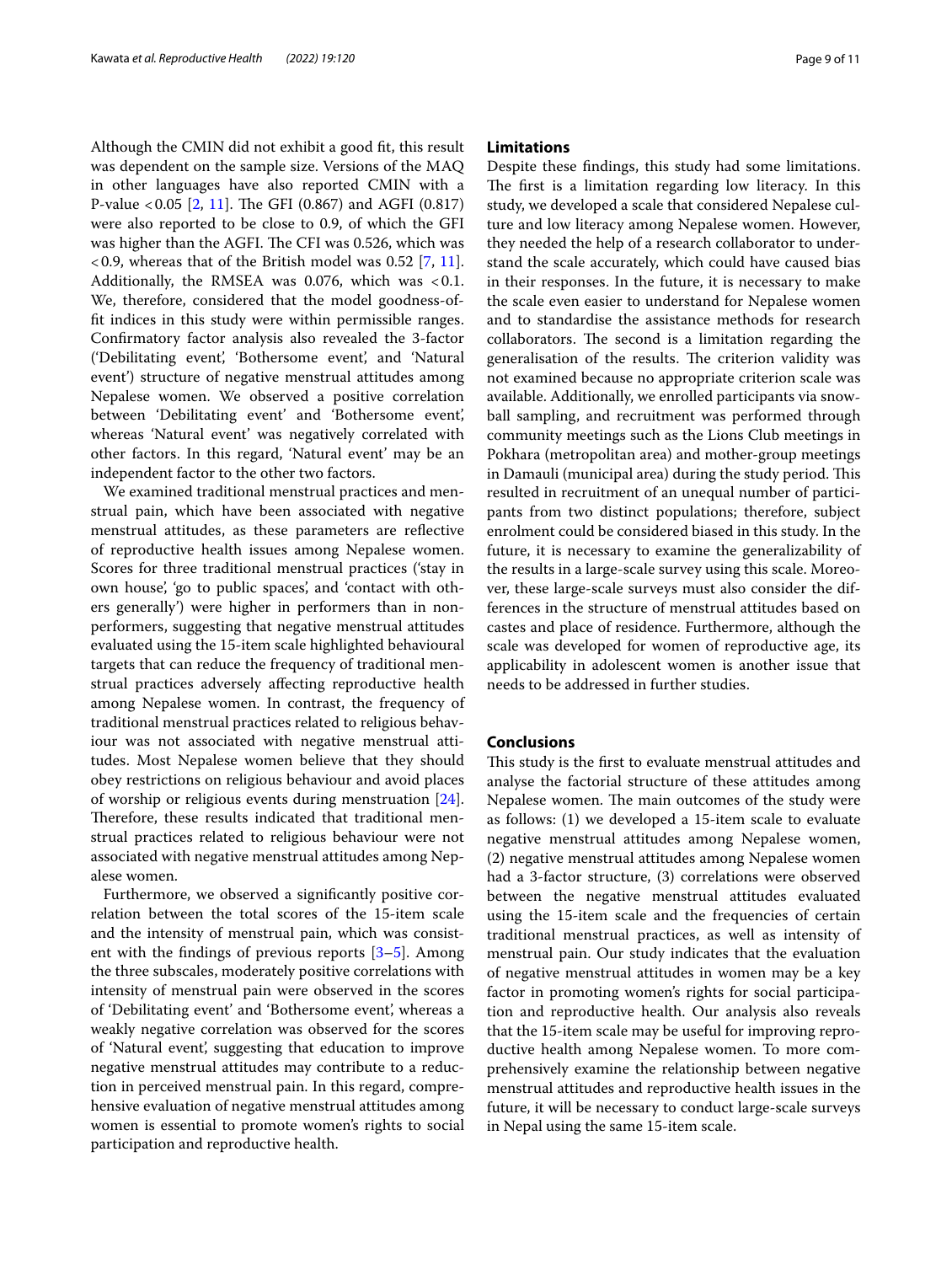Although the CMIN did not exhibit a good ft, this result was dependent on the sample size. Versions of the MAQ in other languages have also reported CMIN with a P-value  $< 0.05$  [\[2](#page-9-1), [11\]](#page-9-10). The GFI (0.867) and AGFI (0.817) were also reported to be close to 0.9, of which the GFI was higher than the AGFI. The CFI was 0.526, which was  $\langle 0.9$ , whereas that of the British model was 0.52 [\[7,](#page-9-6) [11](#page-9-10)]. Additionally, the RMSEA was  $0.076$ , which was  $< 0.1$ . We, therefore, considered that the model goodness-offt indices in this study were within permissible ranges. Confrmatory factor analysis also revealed the 3-factor ('Debilitating event', 'Bothersome event', and 'Natural event') structure of negative menstrual attitudes among Nepalese women. We observed a positive correlation between 'Debilitating event' and 'Bothersome event', whereas 'Natural event' was negatively correlated with other factors. In this regard, 'Natural event' may be an independent factor to the other two factors.

We examined traditional menstrual practices and menstrual pain, which have been associated with negative menstrual attitudes, as these parameters are refective of reproductive health issues among Nepalese women. Scores for three traditional menstrual practices ('stay in own house', 'go to public spaces', and 'contact with others generally') were higher in performers than in nonperformers, suggesting that negative menstrual attitudes evaluated using the 15-item scale highlighted behavioural targets that can reduce the frequency of traditional menstrual practices adversely afecting reproductive health among Nepalese women. In contrast, the frequency of traditional menstrual practices related to religious behaviour was not associated with negative menstrual attitudes. Most Nepalese women believe that they should obey restrictions on religious behaviour and avoid places of worship or religious events during menstruation [\[24](#page-9-23)]. Therefore, these results indicated that traditional menstrual practices related to religious behaviour were not associated with negative menstrual attitudes among Nepalese women.

Furthermore, we observed a signifcantly positive correlation between the total scores of the 15-item scale and the intensity of menstrual pain, which was consistent with the findings of previous reports  $[3-5]$  $[3-5]$ . Among the three subscales, moderately positive correlations with intensity of menstrual pain were observed in the scores of 'Debilitating event' and 'Bothersome event', whereas a weakly negative correlation was observed for the scores of 'Natural event', suggesting that education to improve negative menstrual attitudes may contribute to a reduction in perceived menstrual pain. In this regard, comprehensive evaluation of negative menstrual attitudes among women is essential to promote women's rights to social participation and reproductive health.

## **Limitations**

Despite these fndings, this study had some limitations. The first is a limitation regarding low literacy. In this study, we developed a scale that considered Nepalese culture and low literacy among Nepalese women. However, they needed the help of a research collaborator to understand the scale accurately, which could have caused bias in their responses. In the future, it is necessary to make the scale even easier to understand for Nepalese women and to standardise the assistance methods for research collaborators. The second is a limitation regarding the generalisation of the results. The criterion validity was not examined because no appropriate criterion scale was available. Additionally, we enrolled participants via snowball sampling, and recruitment was performed through community meetings such as the Lions Club meetings in Pokhara (metropolitan area) and mother-group meetings in Damauli (municipal area) during the study period. This resulted in recruitment of an unequal number of participants from two distinct populations; therefore, subject enrolment could be considered biased in this study. In the future, it is necessary to examine the generalizability of the results in a large-scale survey using this scale. Moreover, these large-scale surveys must also consider the differences in the structure of menstrual attitudes based on castes and place of residence. Furthermore, although the scale was developed for women of reproductive age, its applicability in adolescent women is another issue that needs to be addressed in further studies.

## **Conclusions**

This study is the first to evaluate menstrual attitudes and analyse the factorial structure of these attitudes among Nepalese women. The main outcomes of the study were as follows: (1) we developed a 15-item scale to evaluate negative menstrual attitudes among Nepalese women, (2) negative menstrual attitudes among Nepalese women had a 3-factor structure, (3) correlations were observed between the negative menstrual attitudes evaluated using the 15-item scale and the frequencies of certain traditional menstrual practices, as well as intensity of menstrual pain. Our study indicates that the evaluation of negative menstrual attitudes in women may be a key factor in promoting women's rights for social participation and reproductive health. Our analysis also reveals that the 15-item scale may be useful for improving reproductive health among Nepalese women. To more comprehensively examine the relationship between negative menstrual attitudes and reproductive health issues in the future, it will be necessary to conduct large-scale surveys in Nepal using the same 15-item scale.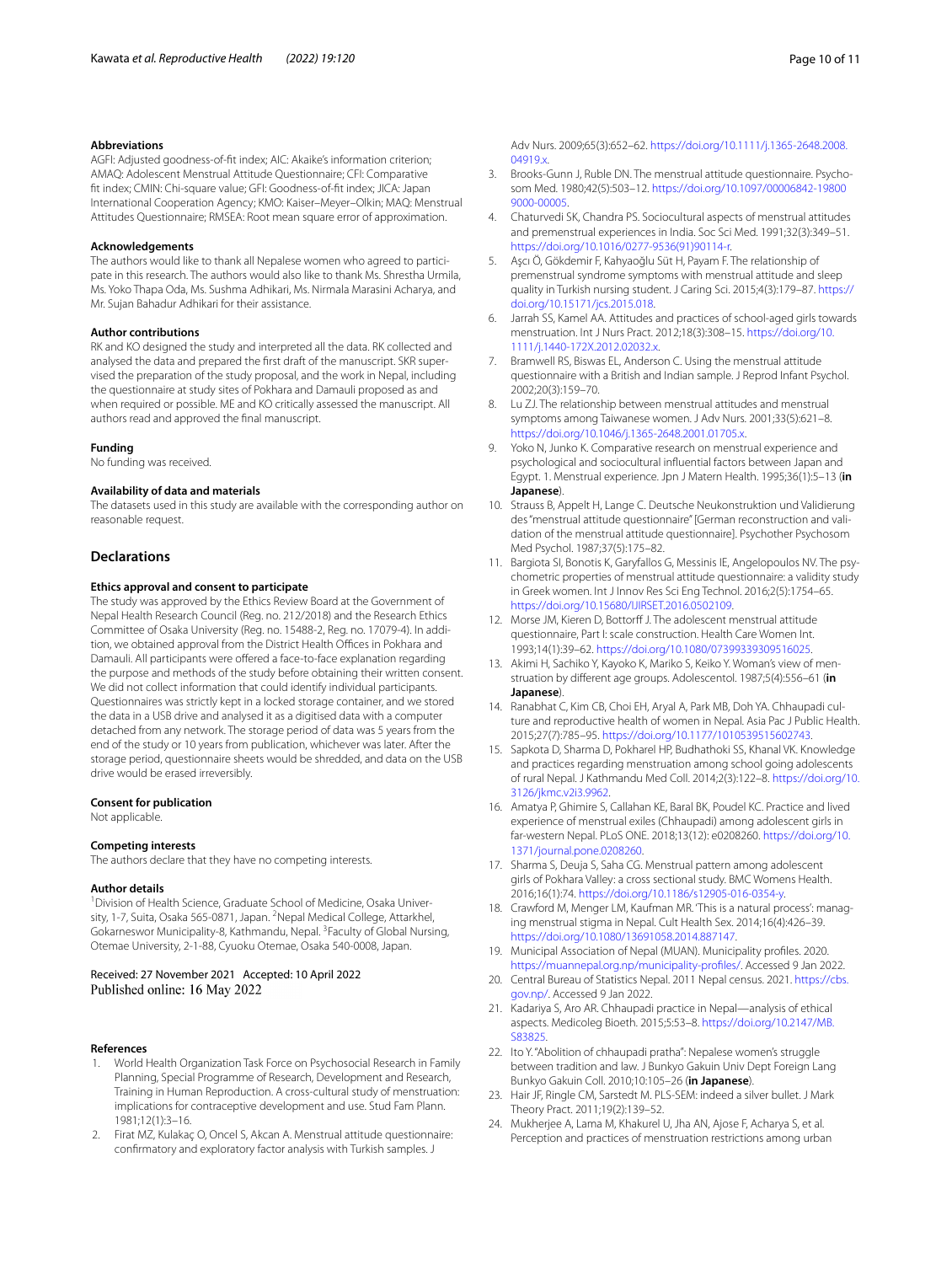#### **Abbreviations**

AGFI: Adjusted goodness-of-ft index; AIC: Akaike's information criterion; AMAQ: Adolescent Menstrual Attitude Questionnaire; CFI: Comparative ft index; CMIN: Chi-square value; GFI: Goodness-of-ft index; JICA: Japan International Cooperation Agency; KMO: Kaiser–Meyer–Olkin; MAQ: Menstrual Attitudes Questionnaire; RMSEA: Root mean square error of approximation.

#### **Acknowledgements**

The authors would like to thank all Nepalese women who agreed to participate in this research. The authors would also like to thank Ms. Shrestha Urmila, Ms. Yoko Thapa Oda, Ms. Sushma Adhikari, Ms. Nirmala Marasini Acharya, and Mr. Sujan Bahadur Adhikari for their assistance.

#### **Author contributions**

RK and KO designed the study and interpreted all the data. RK collected and analysed the data and prepared the frst draft of the manuscript. SKR supervised the preparation of the study proposal, and the work in Nepal, including the questionnaire at study sites of Pokhara and Damauli proposed as and when required or possible. ME and KO critically assessed the manuscript. All authors read and approved the fnal manuscript.

#### **Funding**

No funding was received.

## **Availability of data and materials**

The datasets used in this study are available with the corresponding author on reasonable request.

## **Declarations**

## **Ethics approval and consent to participate**

The study was approved by the Ethics Review Board at the Government of Nepal Health Research Council (Reg. no. 212/2018) and the Research Ethics Committee of Osaka University (Reg. no. 15488-2, Reg. no. 17079-4). In addition, we obtained approval from the District Health Offices in Pokhara and Damauli. All participants were offered a face-to-face explanation regarding the purpose and methods of the study before obtaining their written consent. We did not collect information that could identify individual participants. Questionnaires was strictly kept in a locked storage container, and we stored the data in a USB drive and analysed it as a digitised data with a computer detached from any network. The storage period of data was 5 years from the end of the study or 10 years from publication, whichever was later. After the storage period, questionnaire sheets would be shredded, and data on the USB drive would be erased irreversibly.

#### **Consent for publication**

Not applicable.

#### **Competing interests**

The authors declare that they have no competing interests.

#### **Author details**

<sup>1</sup> Division of Health Science, Graduate School of Medicine, Osaka University, 1-7, Suita, Osaka 565-0871, Japan. <sup>2</sup>Nepal Medical College, Attarkhel, Gokarneswor Municipality-8, Kathmandu, Nepal. <sup>3</sup> Faculty of Global Nursing, Otemae University, 2-1-88, Cyuoku Otemae, Osaka 540-0008, Japan.

## Received: 27 November 2021 Accepted: 10 April 2022 Published online: 16 May 2022

#### **References**

- <span id="page-9-0"></span>1. World Health Organization Task Force on Psychosocial Research in Family Planning, Special Programme of Research, Development and Research, Training in Human Reproduction. A cross-cultural study of menstruation: implications for contraceptive development and use. Stud Fam Plann. 1981;12(1):3–16.
- <span id="page-9-1"></span>2. Firat MZ, Kulakaç O, Oncel S, Akcan A. Menstrual attitude questionnaire: confrmatory and exploratory factor analysis with Turkish samples. J

Adv Nurs. 2009;65(3):652–62. [https://doi.org/10.1111/j.1365-2648.2008.](https://doi.org/10.1111/j.1365-2648.2008.04919.x) [04919.x.](https://doi.org/10.1111/j.1365-2648.2008.04919.x)

- <span id="page-9-2"></span>3. Brooks-Gunn J, Ruble DN. The menstrual attitude questionnaire. Psychosom Med. 1980;42(5):503–12. [https://doi.org/10.1097/00006842-19800](https://doi.org/10.1097/00006842-198009000-00005) [9000-00005.](https://doi.org/10.1097/00006842-198009000-00005)
- <span id="page-9-3"></span>4. Chaturvedi SK, Chandra PS. Sociocultural aspects of menstrual attitudes and premenstrual experiences in India. Soc Sci Med. 1991;32(3):349–51. [https://doi.org/10.1016/0277-9536\(91\)90114-r.](https://doi.org/10.1016/0277-9536(91)90114-r)
- <span id="page-9-4"></span>5. Aşcı Ö, Gökdemir F, Kahyaoğlu Süt H, Payam F. The relationship of premenstrual syndrome symptoms with menstrual attitude and sleep quality in Turkish nursing student. J Caring Sci. 2015;4(3):179–87. [https://](https://doi.org/10.15171/jcs.2015.018) [doi.org/10.15171/jcs.2015.018.](https://doi.org/10.15171/jcs.2015.018)
- <span id="page-9-5"></span>6. Jarrah SS, Kamel AA. Attitudes and practices of school-aged girls towards menstruation. Int J Nurs Pract. 2012;18(3):308–15. [https://doi.org/10.](https://doi.org/10.1111/j.1440-172X.2012.02032.x) [1111/j.1440-172X.2012.02032.x.](https://doi.org/10.1111/j.1440-172X.2012.02032.x)
- <span id="page-9-6"></span>7. Bramwell RS, Biswas EL, Anderson C. Using the menstrual attitude questionnaire with a British and Indian sample. J Reprod Infant Psychol. 2002;20(3):159–70.
- <span id="page-9-7"></span>8. Lu ZJ. The relationship between menstrual attitudes and menstrual symptoms among Taiwanese women. J Adv Nurs. 2001;33(5):621–8. [https://doi.org/10.1046/j.1365-2648.2001.01705.x.](https://doi.org/10.1046/j.1365-2648.2001.01705.x)
- <span id="page-9-8"></span>9. Yoko N, Junko K. Comparative research on menstrual experience and psychological and sociocultural infuential factors between Japan and Egypt. 1. Menstrual experience. Jpn J Matern Health. 1995;36(1):5–13 (**in Japanese**).
- <span id="page-9-9"></span>10. Strauss B, Appelt H, Lange C. Deutsche Neukonstruktion und Validierung des "menstrual attitude questionnaire" [German reconstruction and validation of the menstrual attitude questionnaire]. Psychother Psychosom Med Psychol. 1987;37(5):175–82.
- <span id="page-9-10"></span>11. Bargiota SI, Bonotis K, Garyfallos G, Messinis IE, Angelopoulos NV. The psychometric properties of menstrual attitude questionnaire: a validity study in Greek women. Int J Innov Res Sci Eng Technol. 2016;2(5):1754–65. [https://doi.org/10.15680/IJIRSET.2016.0502109.](https://doi.org/10.15680/IJIRSET.2016.0502109)
- <span id="page-9-11"></span>12. Morse JM, Kieren D, Bottorff J. The adolescent menstrual attitude questionnaire, Part I: scale construction. Health Care Women Int. 1993;14(1):39–62.<https://doi.org/10.1080/07399339309516025>.
- <span id="page-9-12"></span>13. Akimi H, Sachiko Y, Kayoko K, Mariko S, Keiko Y. Woman's view of menstruation by diferent age groups. Adolescentol. 1987;5(4):556–61 (**in Japanese**).
- <span id="page-9-13"></span>14. Ranabhat C, Kim CB, Choi EH, Aryal A, Park MB, Doh YA. Chhaupadi culture and reproductive health of women in Nepal. Asia Pac J Public Health. 2015;27(7):785–95. <https://doi.org/10.1177/1010539515602743>.
- <span id="page-9-14"></span>15. Sapkota D, Sharma D, Pokharel HP, Budhathoki SS, Khanal VK. Knowledge and practices regarding menstruation among school going adolescents of rural Nepal. J Kathmandu Med Coll. 2014;2(3):122–8. [https://doi.org/10.](https://doi.org/10.3126/jkmc.v2i3.9962) [3126/jkmc.v2i3.9962.](https://doi.org/10.3126/jkmc.v2i3.9962)
- <span id="page-9-15"></span>16. Amatya P, Ghimire S, Callahan KE, Baral BK, Poudel KC. Practice and lived experience of menstrual exiles (Chhaupadi) among adolescent girls in far-western Nepal. PLoS ONE. 2018;13(12): e0208260. [https://doi.org/10.](https://doi.org/10.1371/journal.pone.0208260) [1371/journal.pone.0208260.](https://doi.org/10.1371/journal.pone.0208260)
- <span id="page-9-16"></span>17. Sharma S, Deuja S, Saha CG. Menstrual pattern among adolescent girls of Pokhara Valley: a cross sectional study. BMC Womens Health. 2016;16(1):74.<https://doi.org/10.1186/s12905-016-0354-y>.
- <span id="page-9-17"></span>18. Crawford M, Menger LM, Kaufman MR. 'This is a natural process': managing menstrual stigma in Nepal. Cult Health Sex. 2014;16(4):426–39. <https://doi.org/10.1080/13691058.2014.887147>.
- <span id="page-9-18"></span>19. Municipal Association of Nepal (MUAN). Municipality profles. 2020. [https://muannepal.org.np/municipality-profles/](https://muannepal.org.np/municipality-profiles/). Accessed 9 Jan 2022.
- <span id="page-9-19"></span>20. Central Bureau of Statistics Nepal. 2011 Nepal census. 2021. [https://cbs.](https://cbs.gov.np/) [gov.np/.](https://cbs.gov.np/) Accessed 9 Jan 2022.
- <span id="page-9-20"></span>21. Kadariya S, Aro AR. Chhaupadi practice in Nepal—analysis of ethical aspects. Medicoleg Bioeth. 2015;5:53–8. [https://doi.org/10.2147/MB.](https://doi.org/10.2147/MB.S83825) [S83825.](https://doi.org/10.2147/MB.S83825)
- <span id="page-9-21"></span>22. Ito Y. "Abolition of chhaupadi pratha": Nepalese women's struggle between tradition and law. J Bunkyo Gakuin Univ Dept Foreign Lang Bunkyo Gakuin Coll. 2010;10:105–26 (**in Japanese**).
- <span id="page-9-22"></span>23. Hair JF, Ringle CM, Sarstedt M. PLS-SEM: indeed a silver bullet. J Mark Theory Pract. 2011;19(2):139–52.
- <span id="page-9-23"></span>24. Mukherjee A, Lama M, Khakurel U, Jha AN, Ajose F, Acharya S, et al. Perception and practices of menstruation restrictions among urban